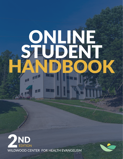# ONLINE STUDENT R HANDBOOK uan



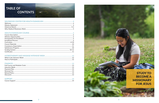# **TABLE OF CONTENTS**

#### 

# 

| $M\sim + +$<br>المتنائم ويتماسم المتماس |  |
|-----------------------------------------|--|
| Theorie Deutstein<br>HOMU               |  |

## 



# **STUDY TO BECOME A MISSIONARY FOR JESUS**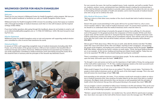# WILDWOOD CENTER FOR HEALTH EVANGELISM

#### *Welcome*

Thank you for your interest in Wildwood Center for Health Evangelism's online program. We have prepared this student handbook to familiarize you with our Health Evangelism Online course.

Wildwood Center for Health Evangelism (CHE) is known for providing courses that equip our students with a thorough knowledge of medical missionary work that is in line with Scripture and the inspired writings of Ellen White.

If you have further questions after going through this handbook, please do not hesitate to email or call us at onlineschool@healthevangelism.com or +1 (706)-419-0030 (ext. 1245). We look forward to hearing from you.

#### *Mission Statement*

Wildwood Center for Health Evangelism exists to train and empower self-supporting medical missionaries committed to a life of service that transforms the world.

#### *Historical Sketch*

In January of 1942 a self-supporting evangelistic team of medical missionaries (including elder W.D. Frazee, one of the leaders of the group) moved to a 500-acre farm nestled in the beautiful hills of northwest Georgia and southern Tennessee. Wildwood Sanitarium Incorporated was founded as a non-profit organization committed to medical missionary work and training around the world. All of this would be done in harmony with the principles of the Seventh-day Adventist Church.



For over seventy-five years, the Lord has supplied means, funds, materials, and staff as needed. Teachers, students, workers, nurses, and physicians have faithfully shared in making the envisioned plan a reality. God has blessed our determination to provide a place outside the city where the sick can come to find healing and learn principles of health and salvation, and to train thousands of medical missionaries who can go out to continue the work.

#### *Why Medical Missionary Work*

"We have come to a time when every member of the church should take hold of medical missionary work." **7T, 62.**

Doesn't this quote sound astonishing? Is this quote still true for our time? And if so, why is every church member called to "take a hold of medical missionary work"? To answer these questions, maybe we should try to understand what this medical missionary work is that she refers to.

"Medical missionary work brings to humanity the gospel of release from suffering. It is the pioneer work of the gospel. It is the gospel practiced, the compassion of Christ revealed. Of this work there is great need, and the world is open for it. God grant that the importance of medical missionary work shall be understood, and that new fields may be immediately entered. Then will the work of the ministry be after the Lord's order; the sick will be healed, and poor, suffering humanity will be blessed." **CCh 309.5**

Did you get it? Think about Jesus. When He was on earth, what did His ministry look like? The Bible states that "Jesus went about all the cities and villages, teaching in their synagogues, and preaching the gospel of the kingdom, and healing every sickness and every disease among the people." **Matthew 9:35**. Ellen White, inspired by the Savior's ministry on earth states, "Christ, the great Medical Missionary, is our example…In His service, healing and teaching were linked closely together. Today they are not to be separated." **9T, 170.** So, why should healing and teaching be combined?

There is something in medical missionary work that draws people. "As the medical missionary works upon the body, God works upon the heart." **14MR 271.5**

"As through it, men and women are led to see the importance of right habits of living, the saving power of the truth will be made known." 7T, 59. Thus, medical missionary stands as the most successful work to be done "in new fields" as in "every city". **See MM, 239; 7T, 59.**

What would it happen if we all took Jesus as our pattern? The divine counsel states, "God desires His people to bind medical missionary work up with the work of the third angel's message. This is the work that will restore the moral image of God." **MM, 160.**

And expanding on this principle, she states, "If our ministers would work earnestly to obtain an education in medical missionary lines, they would be far better fitted to do the work Christ did as a medical missionary. By diligent study and practice they can become so well acquainted with the principles of health reform that wherever they go they will be great blessing to the people they meet." **MM, 239.**

Can you imagine a church committed to follow Jesus' footsteps in its life and ministry? This can be your church. Would you like to join God's army in this final movement of preaching the Word with the power of the Lord in ministering to people's needs?

"Workers—gospel medical missionaries—are needed now. You cannot afford to spend years in preparation. Soon doors now open to the truth will be forever closed. Carry the message now." **9T, 171-172.**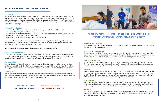# HEALTH EVANGELISM ONLINE COURSE

#### *Course Description*

Our Health Evangelism Online course is composed of four modules that include both theoretical and practical classes. There are two routes a student can take to complete the course. He can either enroll in the full course or in separate modules. The full course includes all the classes of the four modules and offers a well-rounded learning experience. The modules emphasize a single aspect of health, health evangelism, or theology.

#### *Ministry Opportunities*

After completion of the Health Evangelism Online course, the graduate should be able to:

- Serve as health evangelist for a local church.
- Serve with any ministry affiliated with LIGHT\*, OCI\*, or other mission organizations around the world.
- Serve as a teacher in medical missionary schools.
- Serve as a Christian health educator in his local community.

Completing this course also serves as a prerequisite for obtaining advanced training in the Ministry Management and Lifestyle Coaching courses at Wildwood, or to apply for job opportunities at Wildwood Health Institute in medical missionary positions.

*\*Visit www.ociministries.org and www.lightingtheworld.org for more information.*

#### *Prerequisites for Enrollment*

If you are under the age of 18 you need to have written approval of a parent or legal guardian to take the online course. You must also be well familiarized with the English language verbally, in reading, and in writing. Lastly, you will need internet that is fast enough to stream video content.

#### *Enrollment Process*

One can start the online training at any time. Once a participant fills out an application form and pays for the enrollment fees, CHE will set up his student account and provide access to the online platform. This happens within the following two business days. Each account is personal and not transferable.

#### *Curriculum*

The Health Evangelism Online course includes all the classes listed below, divided into four modules. There are four electives available. It is not necessary to take these elective classes to graduate. They are merely optional extra classes if the student desires to learn more.

#### *Health Science Module*

The Health Science Module enhances the student's understanding of health that works as a foundation for practical medical missionary work.

#### *Basic Lifestyle Physiology I & II*

This class is an overview of the various systems of the body. We will look at how they work, what hinders them, and what increases their health and efficiency. The aim is to give you an appreciation of the creative power and wisdom of God, and a foundational understanding of the human body.

#### *Disease Protection I & II*

This class teaches the simple pathophysiology, risk factors, causes, prevention, and natural treatments for the most common chronic diseases. These are for example inflammation, diabetes, atherosclerosis, anemia, arthritis, cancer, and dementia. Part two also covers the most common infectious diseases

#### *Nutrition*

Explore the benefits of a plant-based diet. Look into basic nutrients, healthy dietary habits, and the link between one's diet and diseases. Learn to evaluate and obtain appropriate nutrients from a vegetarian diet for all ages. Discover tools for evaluating fads and avoiding extremes in nutrition. Practically work all of these aspects into a balanced, healthy, and vegetarian weekly menu.

#### *Mental Health*

Get trained in basic Christian counseling by studying the Christian perspective of psychology and the mind's mechanism. Learn effective interpersonal communication and how to resolve conflicts. Emphasis is on forgiveness, depression, and disorders resulting from a malfunction of the brain.

#### *Health Talks*

Learn how to prepare brief health talks and present them in a way that will be interesting and informative to the public. You will give two short talks with visual aid. The last one you will present to teenagers in the public school system.

# "EVERY SOUL SHOULD BE FILLED WITH THE TRUE MEDICAL MISSIONARY SPIRIT."

**HEALTH SCIENCE MODULE**

**CHRISTIAN GROWTH MODULE**

**APPLIED HEALTH MODULE**

**CHRISTIAN MINISTRY MODULE**

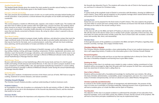## *Applied Health Module*

The Applied Health Module gives the student the tools needed to provide natural healing in a mission setting. It builds on the information given in the Health Science Module.

#### *Principles of Health and Healing*

This class presents the foundational causes of sicknvess on earth and the principles behind healing and overall restoration. It also presents a contrast between the principles of true health and healing and its counterfeit.

#### *Health Expos*

This course prepares a student to effectively plan, organize, and conduct a health expo. The student will also learn how to follow up with contacts after the health expo. Last but not least, the students will be given resources on how to train others to plan a health expo. A health expo is a practical yet effective tool to reach communities. It provides health education to increase the quality of life and prevent diseases that are directly connected to lifestyle choices. By caring for others a door is opened to discuss spiritual matters.

#### *Plant-Based Cooking*

This course prepares students to prepare simple, healthy, delicious, and attractive recipes that meet the major nutritional needs of the body. Students will also be able to provide healthy alternatives to food that may be harmful for the body, such as animal products. Lastly they will look into food combining, menu planning, and the presentation of recipes and dishes to the public.

#### *Massage: Theory*

Get theoretic instruction in various techniques in Swedish massage, such as effleurage, gliding, stretching, jostling, shaking, rocking, petrissage, kneading, compression, frictions, tapotement, percussion, and vibration. Learn the benefits of massage, indications, and contraindications. Discover all the ways to use massage for healing. A practical training in massage is offered at Wildwood Lifestyle Center during the annual Hydrotherapy & Massage Intensive Week.

#### *Hydrotherapy: Theory*

Receive solid information on how hydrotherapy affects the human body and how it is vital for good health and healing of both physical and mental illnesses. In this class we seek to prepare students to become competent in providing skillful, safe, and appropriate hydrotherapy treatments in a home setting. A practical training in massage is offered at Wildwood Lifestyle Center during the annual Hydrotherapy & Massage Intensive Week.

#### *Herbal Remedies*

This class gives students a fundamental overview of the history and use of herbs. We'll look at usage for cooking, treatment of common diseases, and natural cosmetics.

#### *Christian Growth Module*

The Christian Growth Module provides a spiritual understanding of medical missionary work.

#### *Prophetic Guidance*

In contrast to the world's popular methods of management and administration, the purpose of this class is to train you in principles of Christian leadership, following heaven's form of government. We will look at wisdom given us in both the Bible and the Spirit of Prophecy.

An investigation of the role of prophecy as culminated in the life and ministry of Ellen G. White. Emphasis will be put on her role in the development of the Seventh-day Adventist Church, and the miracles that testify to her work.

#### *Sanctuary Studies*

In this class we will analyze the importance and uniqueness of the sanctuary message that is given to

the Seventh-day Adventist Church. The students will review the role of Christ in the heavenly sanctu-

#### *Daniel*

A careful study of the prophetic book of Daniel in connection with Revelation, showing its fulfillment in earth's history. There will be special emphasis on the prophetic heritage which stands behind the origin and purpose of the Seventh-day Adventist church.

#### *Last Day Events*

Study how you can be prepared for the final events of earth's history. This class explores the prophecies that relate to current and soon coming events, and draws out lessons from the book of Daniel that will help you be ready for the second coming of Jesus.

#### *Christian Living*

In this class we will use the Bible and Spirit of Prophecy to discover what a Christian walk looks like. We will also look at the devices Satan uses to weaken God's people, especially in these last days. Practical topics for study and discussion include: prayer life, how to know God's will, recreation, social life, music and worship, diet, dress, and stewardship.

#### *Christian Home*

A thorough discussion of the guidelines as revealed in the Bible and Spirit of Prophecy regarding steps towards courtship, marriage, and a happy Christian home.

#### *Christian Ministry Module*

The Christian Ministry Module provides a clear understanding of how to turn medical missionary work into a self-supporting ministry. It builds on the information given in the Christian Growth Module.

#### *Personal Evangelism*

It's time to set everything aside and focus on just that one individual who is thirsty for Christ. Part of this class is friendship evangelism and learning how to give Bible studies.

#### *Finishing the Work*

The purpose of this class is to motivate every student to make a solemn, lasting commitment to God. Students will be encouraged to align their life goals with God's purpose for their lives, and prayerfully look into what kind of ministry God is calling them to.

#### *How to Start a Ministry*

Students will be provided with a foundational knowledge for starting their own ministry. We will go into basic Christian administration, sustainability, project management, and more. For a more in-depth study of Christian entrepreneurship, we have an advanced course called Ministry Management.

#### *Christian Leadership and Administration*

#### *True Education*

The objective of this class is to prepare students to understand the principles of true education from historical examples, such as the Eden school, the children of Israel, and the schools of the prophets. We will look at how these principles established by God may be implemented today.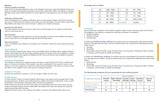#### *Electives*

#### *Ministry of Health and Healing*

Study the life of the great physician, Jesus, as He mingled among men. Learn His methods of soul-winning as recorded in the beautiful masterpiece by Christian author Ellen White, The Ministry of Healing. Through a deep study of this book learn to use the right arm of the gospel to reach all classes of people.

#### *Philosophy of Mission Work*

Study the blueprint of our calling as individuals and a remnant people. Explore what kind of strategy we can use to finish the work of God on this earth and in this generation. Find out what it means when Ellen White writes that every church member is called to be a medical missionary.

#### *Meeting God's Heart Need*

This class explores the value you have in God's eyes, and encourages you to respond to God's heart need of connecting with us.

#### *Plan of Salvation*

This class is designed to help develop true Christian principles in the life of the students and prepare them to lead others to the kingdom through the aid of the Holy Spirit.

#### *Depression Recovery*

Learn to strengthen your willpower and improve your motivation. Study the science behind depression recovery.

#### *Course Materials*

All the materials needed for the online course are available online, including videos, reading materials, quizzes, and assignments. All the reading materials used for the online course are in syllabus or e-book format and have been put together by Wildwood CHE. These will only be made available to students who take the online course.

## *Consistency Expectations*

All students are expected to complete at least one lesson a week except if sick, there is a family emergency, or they are on vacation. If the student is not able to participate in the course for two or more weeks in a row, he is expected to contact the online school coordinator. Not doing so can have a negative effect on the student's score in the class he is taking at that time.

## *Satisfactory Progress*

Students are expected to maintain a C (70 %) average or higher for each class.

#### *Grading System*

A course teacher is there to monitor students' performance, and support and encourage them in their learning experience. Student scores will be based on written and practical assignments, exams, overall participation, demonstration of practical skills, and technical proficiency.

Grade reports are issued at the end of each class, and overall GPA at the end of the course. Any corrections and grade changes must be made within two weeks of the date when grades are issued. All grades become final after this date.

Students who fail to pass a class will have the option to repeat it. The highest grade will be used.

|    | 4.0 | $(100 - 93%)$ | $C+$              | 2.3 | $(79 - 77%)$            |
|----|-----|---------------|-------------------|-----|-------------------------|
|    | 3.7 | $(92 - 90\%)$ |                   | 2.0 | $(76 - 73%)$            |
| B+ | 3.3 | $(89 - 87%)$  |                   | 1.7 | $(72 - 70%)$            |
| B  | 3.0 | $(86 - 83%)$  |                   | 0.0 | $(69% \text{ or less})$ |
|    | 27  | $(82 - 80%)$  | <b>Incomplete</b> |     | 0 points                |

## *Certificates*

Upon satisfactory completion of the Health Evangelism Online course, and having fully met the financial obligations, the student is rewarded the following certificates of completion:

- Health Evangelism
- Swedish massage
- Hydrotherapy

To obtain the **Swedish massage certificate**, the student must have participated in the practical Hydrotherapy & Massage Intensive week, and must satisfactorally have completed the following theoretical online classes:

• All principal classes (Christian Living, Christian Home, True Education, Finishing the Work, Prophet-

- Massage
- Physiology
- ic Guidance, and Principles of Health and Healing).

To obtain the **hydrotherapy certificate**, the student must have participated in the practical Hydrotherapy & Massage Intensive Week, and must satisfactorally have completed the following theoretical online classes:

• All principle classes (Christian Living, Christian Home, True Education, Finishing the Work, Prophet-

- Hydrotherapy
- Physiology
- ic Guidance, and Principles of Health and Healing).

## *The following table summarizes the class requirements for each certificate granted:*

#### *The grading scale is as follows.*

|                            | <b>Classes Required</b>     |                                      |                    |                   |                             |                   |
|----------------------------|-----------------------------|--------------------------------------|--------------------|-------------------|-----------------------------|-------------------|
| <b>Certificate Granted</b> | Principle<br><b>Classes</b> | <b>Basic Lifestyle</b><br>Physiology | Swedish<br>Massage | Hydro-<br>therapy | All Other<br><b>Classes</b> | Intensive<br>Week |
| <b>Health Evangelism</b>   |                             |                                      |                    |                   |                             |                   |
| <b>Swedish massage</b>     |                             |                                      |                    |                   |                             |                   |
| Hydrotherapy               |                             |                                      |                    |                   |                             |                   |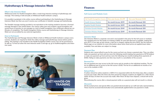# Hydrotherapy & Massage Intensive Week

#### *What Is the Intensive Week*

Wildwood Center for Health Evangelism offers a week-long intensive training in hydrotherapy and massage. This training is held annually on Wildwood Health Institute's campus.

It is possible to graduate in the online course without participating in the Hydrotherapy & Massage Intensive Week, but then you won't receive your certificates in Swedish massage and hydrotherapy.

The Swedish massage training provided is not equivalent to the training needed to become a licensed massage therapist in the United States. Our classes rather give each student a good foundation and several hours of practice to use massage as a tool in health evangelism. Any certificates offered are certificates of completion. The Health Evangelism Online course and Hydrotherapy & Massage Intensive Week are not accredited by any external organization.

#### *How to Participate*

The Hydrotherapy and Massage Intensive Week is held on Wildwood Health Institute's campus every summer. Students are required to finish the online massage and hydrotherapy classes before participating. This training is not included in the Health Evangelism Online course, but can be purchased as an add-on. To find out when the next intensive week is and sign up, go to healthevangelism.com/intensive-week.

| <b>Full Health Evangelism Course</b> | <b>One-year Access: \$1,499</b> | <b>One-year Renewal: \$100</b> |
|--------------------------------------|---------------------------------|--------------------------------|
| <b>Health Science Module</b>         | <b>Six-month Access: \$599</b>  | Six-month Renewal: \$50        |
| <b>Applied Health Module</b>         | <b>Six-month Access: \$499</b>  | <b>Six-month Renewal: \$50</b> |
| <b>Christian Growth Module</b>       | <b>Six-month Access: \$349</b>  | <b>Six-month Renewal: \$50</b> |
| <b>Christian Ministry Module</b>     | <b>Six-month Access: \$349</b>  | Six-month Renewal: \$50        |

# Finances

## *Full Course and Modules Costs*

#### *Intensive Week*

The Intensive Week is a separate cost and is not included in the price for the full course or modules. The standard price for this hands-on training is \$600. An early bird discount is available, making the price \$575. If you sign up last-minute, a late fee is charged, making the price \$650. See the Intensive Week page on our website for more information about when these prices are applied (exact dates available). Fees and dates are subject to change.

#### *Payment Plan*

Students who cannot afford to pay for the course up front can choose a payment plan. They can either make one payment up front and one more the following month (making two payments of \$750 dollars) or make one payment up front and two more the following two months (making three payments of \$500). Failing to make payments one time may result in a cancellation of the account.

#### *Renewal Fee*

You are granted one-year access to the full course and six months to the individual modules. The fee for an additional year of access to the full course is \$100. The fee for an additional six months of access to the modules is \$50.

#### *Refund Policy*

A tuition refund for online students is 100% if it is requested within the first three days after a student account was made. After this three-day time period has elapsed, students are eligible for a 50% refund within 30 days of when the account was made. After these 30 days have elapsed, a refund will not be given.

Discontinuing the course after a missed payment while on a payment plan will not result in a refund.

#### *Discounts*

All discounted prices and special offers are granted electronically by our staff and sales representatives. These must be accessed electronically to be automatically applied before any payment is made.

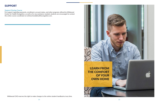# SUPPORT

## *Support During Course*

For support regarding payments, enrollment, account status, and other programs offered by Wildwood Center for Health Evangelism, as well as for any assistance needed, students are encouraged to contact the online course coordinator at onlineschool@healthevangelism.com.



Wildwood CHE reserves the right to make changes to the online student handbook at any time.